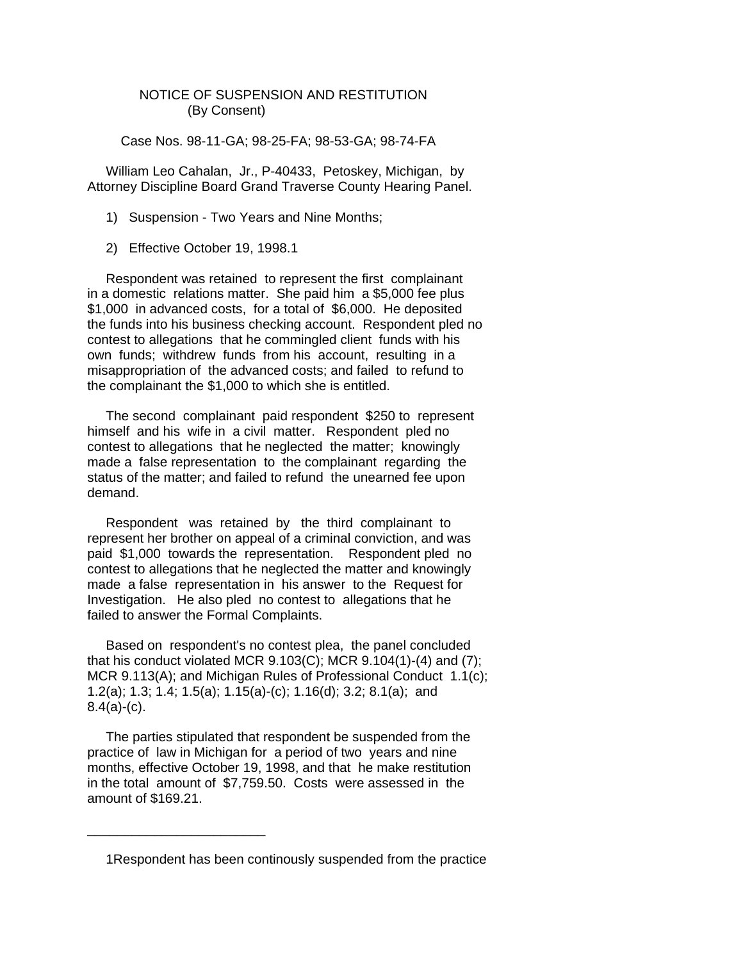## NOTICE OF SUSPENSION AND RESTITUTION (By Consent)

Case Nos. 98-11-GA; 98-25-FA; 98-53-GA; 98-74-FA

 William Leo Cahalan, Jr., P-40433, Petoskey, Michigan, by Attorney Discipline Board Grand Traverse County Hearing Panel.

- 1) Suspension Two Years and Nine Months;
- 2) Effective October 19, 1998.1

 Respondent was retained to represent the first complainant in a domestic relations matter. She paid him a \$5,000 fee plus \$1,000 in advanced costs, for a total of \$6,000. He deposited the funds into his business checking account. Respondent pled no contest to allegations that he commingled client funds with his own funds; withdrew funds from his account, resulting in a misappropriation of the advanced costs; and failed to refund to the complainant the \$1,000 to which she is entitled.

 The second complainant paid respondent \$250 to represent himself and his wife in a civil matter. Respondent pled no contest to allegations that he neglected the matter; knowingly made a false representation to the complainant regarding the status of the matter; and failed to refund the unearned fee upon demand.

 Respondent was retained by the third complainant to represent her brother on appeal of a criminal conviction, and was paid \$1,000 towards the representation. Respondent pled no contest to allegations that he neglected the matter and knowingly made a false representation in his answer to the Request for Investigation. He also pled no contest to allegations that he failed to answer the Formal Complaints.

 Based on respondent's no contest plea, the panel concluded that his conduct violated MCR 9.103(C); MCR 9.104(1)-(4) and (7); MCR 9.113(A); and Michigan Rules of Professional Conduct 1.1(c); 1.2(a); 1.3; 1.4; 1.5(a); 1.15(a)-(c); 1.16(d); 3.2; 8.1(a); and  $8.4(a)-(c)$ .

 The parties stipulated that respondent be suspended from the practice of law in Michigan for a period of two years and nine months, effective October 19, 1998, and that he make restitution in the total amount of \$7,759.50. Costs were assessed in the amount of \$169.21.

\_\_\_\_\_\_\_\_\_\_\_\_\_\_\_\_\_\_\_\_\_\_\_\_

 <sup>1</sup>Respondent has been continously suspended from the practice